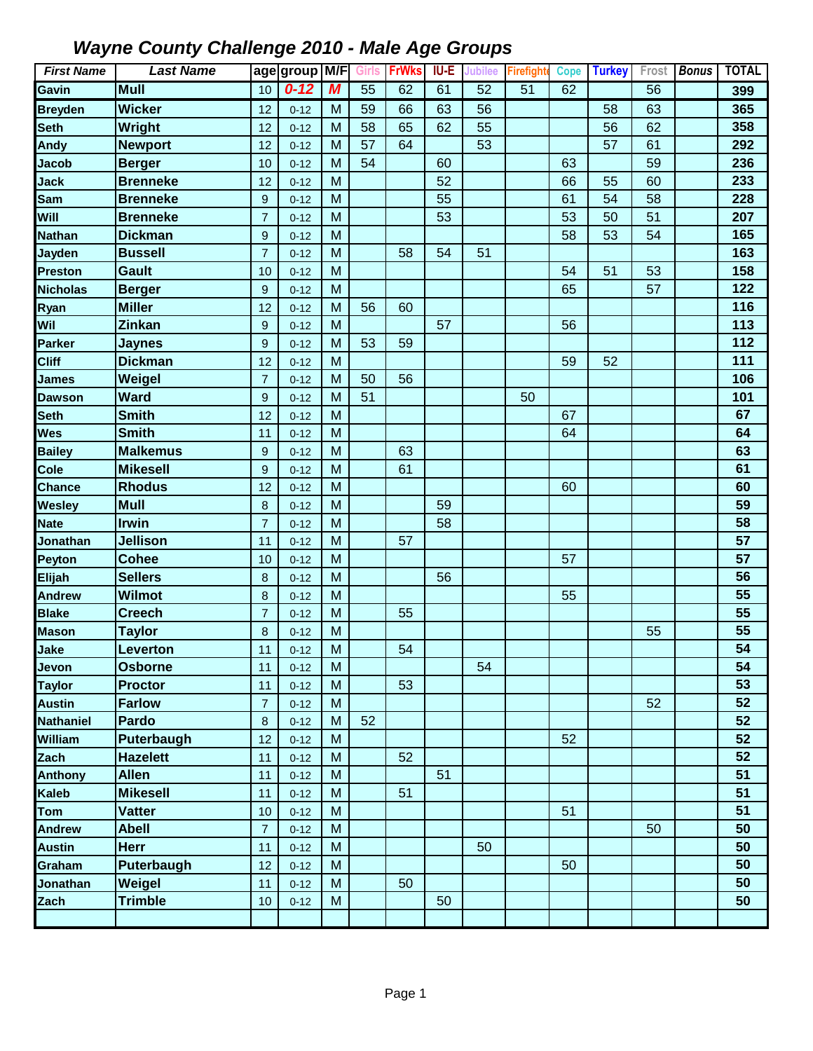| <b>First Name</b> | <b>Last Name</b>  |                | age group M/F |   | <b>Girls</b> | <b>FrWks</b> | IU-E | Jubilee | Firefighte      | <b>Cope</b> | <b>Turkey</b> | Frost | <b>Bonus</b> | <b>TOTAL</b> |
|-------------------|-------------------|----------------|---------------|---|--------------|--------------|------|---------|-----------------|-------------|---------------|-------|--------------|--------------|
| Gavin             | <b>Mull</b>       | 10             | $0 - 12$      | M | 55           | 62           | 61   | 52      | $\overline{51}$ | 62          |               | 56    |              | 399          |
| <b>Breyden</b>    | <b>Wicker</b>     | 12             | $0 - 12$      | M | 59           | 66           | 63   | 56      |                 |             | 58            | 63    |              | 365          |
| <b>Seth</b>       | Wright            | 12             | $0 - 12$      | M | 58           | 65           | 62   | 55      |                 |             | 56            | 62    |              | 358          |
| Andy              | <b>Newport</b>    | 12             | $0 - 12$      | M | 57           | 64           |      | 53      |                 |             | 57            | 61    |              | 292          |
| <b>Jacob</b>      | <b>Berger</b>     | 10             | $0 - 12$      | M | 54           |              | 60   |         |                 | 63          |               | 59    |              | 236          |
| <b>Jack</b>       | <b>Brenneke</b>   | 12             | $0 - 12$      | M |              |              | 52   |         |                 | 66          | 55            | 60    |              | 233          |
| Sam               | <b>Brenneke</b>   | 9              | $0 - 12$      | M |              |              | 55   |         |                 | 61          | 54            | 58    |              | 228          |
| Will              | <b>Brenneke</b>   | $\overline{7}$ | $0 - 12$      | M |              |              | 53   |         |                 | 53          | 50            | 51    |              | 207          |
| <b>Nathan</b>     | <b>Dickman</b>    | 9              | $0 - 12$      | M |              |              |      |         |                 | 58          | 53            | 54    |              | 165          |
| <b>Jayden</b>     | <b>Bussell</b>    | $\overline{7}$ | $0 - 12$      | M |              | 58           | 54   | 51      |                 |             |               |       |              | 163          |
| <b>Preston</b>    | <b>Gault</b>      | 10             | $0 - 12$      | M |              |              |      |         |                 | 54          | 51            | 53    |              | 158          |
| <b>Nicholas</b>   | <b>Berger</b>     | 9              | $0 - 12$      | M |              |              |      |         |                 | 65          |               | 57    |              | 122          |
| Ryan              | <b>Miller</b>     | 12             | $0 - 12$      | M | 56           | 60           |      |         |                 |             |               |       |              | 116          |
| Wil               | <b>Zinkan</b>     | 9              | $0 - 12$      | M |              |              | 57   |         |                 | 56          |               |       |              | 113          |
| <b>Parker</b>     | <b>Jaynes</b>     | 9              | $0 - 12$      | M | 53           | 59           |      |         |                 |             |               |       |              | 112          |
| <b>Cliff</b>      | <b>Dickman</b>    | 12             | $0 - 12$      | M |              |              |      |         |                 | 59          | 52            |       |              | 111          |
| <b>James</b>      | Weigel            | $\overline{7}$ | $0 - 12$      | M | 50           | 56           |      |         |                 |             |               |       |              | 106          |
| <b>Dawson</b>     | <b>Ward</b>       | 9              | $0 - 12$      | M | 51           |              |      |         | 50              |             |               |       |              | 101          |
| <b>Seth</b>       | <b>Smith</b>      | 12             | $0 - 12$      | M |              |              |      |         |                 | 67          |               |       |              | 67           |
| <b>Wes</b>        | <b>Smith</b>      | 11             | $0 - 12$      | M |              |              |      |         |                 | 64          |               |       |              | 64           |
| <b>Bailey</b>     | <b>Malkemus</b>   | 9              | $0 - 12$      | M |              | 63           |      |         |                 |             |               |       |              | 63           |
| Cole              | <b>Mikesell</b>   | 9              | $0 - 12$      | M |              | 61           |      |         |                 |             |               |       |              | 61           |
| <b>Chance</b>     | <b>Rhodus</b>     | 12             | $0 - 12$      | M |              |              |      |         |                 | 60          |               |       |              | 60           |
| <b>Wesley</b>     | <b>Mull</b>       | 8              | $0 - 12$      | M |              |              | 59   |         |                 |             |               |       |              | 59           |
| <b>Nate</b>       | <b>Irwin</b>      | $\overline{7}$ | $0 - 12$      | M |              |              | 58   |         |                 |             |               |       |              | 58           |
| Jonathan          | <b>Jellison</b>   | 11             | $0 - 12$      | M |              | 57           |      |         |                 |             |               |       |              | 57           |
| Peyton            | <b>Cohee</b>      | 10             | $0 - 12$      | M |              |              |      |         |                 | 57          |               |       |              | 57           |
| Elijah            | <b>Sellers</b>    | 8              | $0 - 12$      | M |              |              | 56   |         |                 |             |               |       |              | 56           |
| <b>Andrew</b>     | <b>Wilmot</b>     | 8              | $0 - 12$      | M |              |              |      |         |                 | 55          |               |       |              | 55           |
| <b>Blake</b>      | <b>Creech</b>     | $\overline{7}$ | $0 - 12$      | M |              | 55           |      |         |                 |             |               |       |              | 55           |
| <b>Mason</b>      | <b>Taylor</b>     | 8              | $0 - 12$      | M |              |              |      |         |                 |             |               | 55    |              | 55           |
| Jake              | <b>Leverton</b>   | 11             | $0 - 12$      | M |              | 54           |      |         |                 |             |               |       |              | 54           |
| Jevon             | <b>Osborne</b>    | 11             | $0 - 12$      | M |              |              |      | 54      |                 |             |               |       |              | 54           |
| <b>Taylor</b>     | <b>Proctor</b>    | 11             | $0 - 12$      | M |              | 53           |      |         |                 |             |               |       |              | 53           |
| <b>Austin</b>     | <b>Farlow</b>     | $\overline{7}$ | $0 - 12$      | M |              |              |      |         |                 |             |               | 52    |              | 52           |
| <b>Nathaniel</b>  | Pardo             | 8              | $0 - 12$      | M | 52           |              |      |         |                 |             |               |       |              | 52           |
| William           | Puterbaugh        | 12             | $0 - 12$      | M |              |              |      |         |                 | 52          |               |       |              | 52           |
| Zach              | <b>Hazelett</b>   | 11             | $0 - 12$      | M |              | 52           |      |         |                 |             |               |       |              | 52           |
| <b>Anthony</b>    | <b>Allen</b>      | 11             | $0 - 12$      | M |              |              | 51   |         |                 |             |               |       |              | 51           |
| <b>Kaleb</b>      | <b>Mikesell</b>   | 11             | $0 - 12$      | M |              | 51           |      |         |                 |             |               |       |              | 51           |
| Tom               | <b>Vatter</b>     | 10             | $0 - 12$      | M |              |              |      |         |                 | 51          |               |       |              | 51           |
| <b>Andrew</b>     | <b>Abell</b>      | $\overline{7}$ | $0 - 12$      | M |              |              |      |         |                 |             |               | 50    |              | 50           |
| <b>Austin</b>     | <b>Herr</b>       | 11             | $0 - 12$      | M |              |              |      | 50      |                 |             |               |       |              | 50           |
| Graham            | <b>Puterbaugh</b> | 12             | $0 - 12$      | M |              |              |      |         |                 | 50          |               |       |              | 50           |
| Jonathan          | Weigel            | 11             | $0 - 12$      | M |              | 50           |      |         |                 |             |               |       |              | 50           |
| Zach              | <b>Trimble</b>    | 10             | $0 - 12$      | M |              |              | 50   |         |                 |             |               |       |              | 50           |
|                   |                   |                |               |   |              |              |      |         |                 |             |               |       |              |              |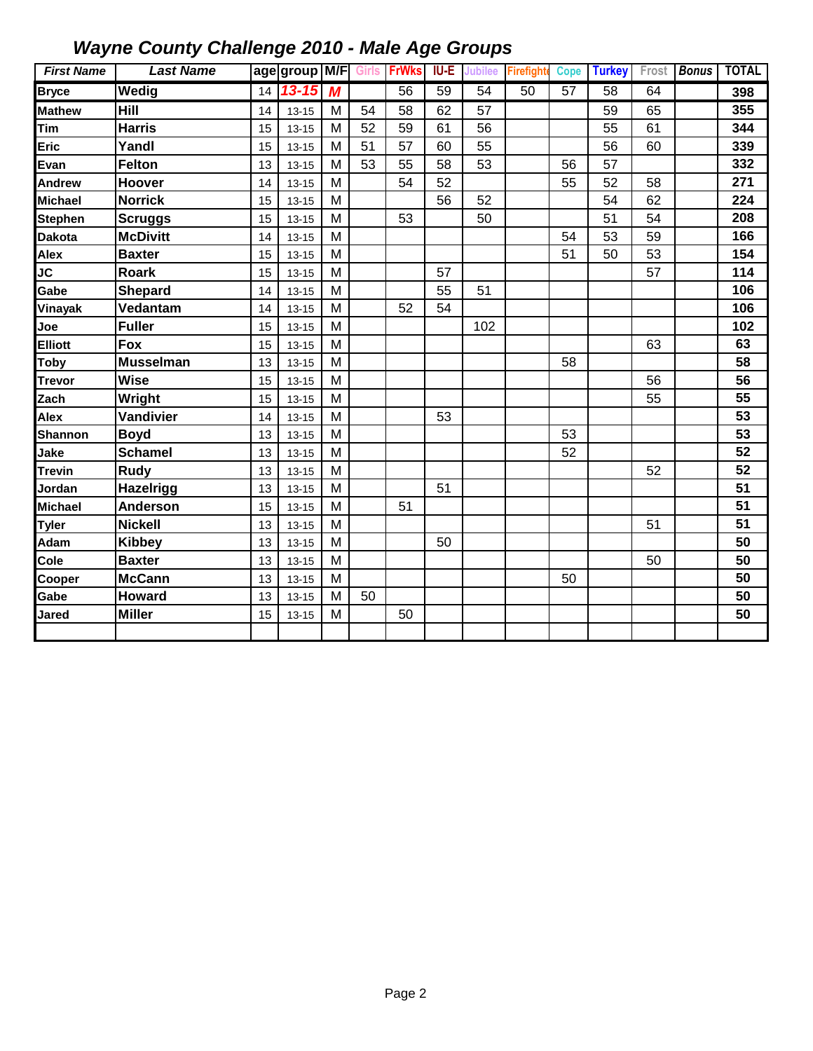| <b>First Name</b> | <b>Last Name</b> |    | age group M/F Girls FrWks |                |    |                 | <b>IU-E</b>     | <b>Jubilee</b>  | <b>Firefighte</b> | <b>Cope</b>     | <b>Turkey</b>   | Frost | <b>Bonus</b> | <b>TOTAL</b> |
|-------------------|------------------|----|---------------------------|----------------|----|-----------------|-----------------|-----------------|-------------------|-----------------|-----------------|-------|--------------|--------------|
| <b>Bryce</b>      | Wedig            | 14 | $13 - 15$                 | $\overline{M}$ |    | $\overline{56}$ | $\overline{59}$ | $\overline{54}$ | 50                | $\overline{57}$ | $\overline{58}$ | 64    |              | 398          |
| <b>Mathew</b>     | Hill             | 14 | $13 - 15$                 | M              | 54 | 58              | 62              | 57              |                   |                 | 59              | 65    |              | 355          |
| Tim               | <b>Harris</b>    | 15 | $13 - 15$                 | M              | 52 | 59              | 61              | 56              |                   |                 | 55              | 61    |              | 344          |
| Eric              | Yandl            | 15 | $13 - 15$                 | M              | 51 | 57              | 60              | 55              |                   |                 | 56              | 60    |              | 339          |
| Evan              | Felton           | 13 | $13 - 15$                 | M              | 53 | 55              | 58              | 53              |                   | 56              | 57              |       |              | 332          |
| Andrew            | Hoover           | 14 | $13 - 15$                 | M              |    | 54              | 52              |                 |                   | 55              | 52              | 58    |              | 271          |
| <b>Michael</b>    | <b>Norrick</b>   | 15 | $13 - 15$                 | M              |    |                 | 56              | 52              |                   |                 | 54              | 62    |              | 224          |
| <b>Stephen</b>    | <b>Scruggs</b>   | 15 | $13 - 15$                 | M              |    | 53              |                 | 50              |                   |                 | 51              | 54    |              | 208          |
| <b>Dakota</b>     | <b>McDivitt</b>  | 14 | $13 - 15$                 | M              |    |                 |                 |                 |                   | 54              | 53              | 59    |              | 166          |
| Alex              | <b>Baxter</b>    | 15 | $13 - 15$                 | M              |    |                 |                 |                 |                   | 51              | 50              | 53    |              | 154          |
| JC                | <b>Roark</b>     | 15 | $13 - 15$                 | M              |    |                 | 57              |                 |                   |                 |                 | 57    |              | 114          |
| Gabe              | <b>Shepard</b>   | 14 | $13 - 15$                 | M              |    |                 | 55              | 51              |                   |                 |                 |       |              | 106          |
| Vinayak           | Vedantam         | 14 | $13 - 15$                 | M              |    | 52              | 54              |                 |                   |                 |                 |       |              | 106          |
| Joe               | <b>Fuller</b>    | 15 | $13 - 15$                 | M              |    |                 |                 | 102             |                   |                 |                 |       |              | 102          |
| <b>Elliott</b>    | <b>Fox</b>       | 15 | $13 - 15$                 | M              |    |                 |                 |                 |                   |                 |                 | 63    |              | 63           |
| <b>Toby</b>       | <b>Musselman</b> | 13 | $13 - 15$                 | M              |    |                 |                 |                 |                   | 58              |                 |       |              | 58           |
| <b>Trevor</b>     | <b>Wise</b>      | 15 | $13 - 15$                 | M              |    |                 |                 |                 |                   |                 |                 | 56    |              | 56           |
| Zach              | Wright           | 15 | $13 - 15$                 | M              |    |                 |                 |                 |                   |                 |                 | 55    |              | 55           |
| Alex              | Vandivier        | 14 | $13 - 15$                 | M              |    |                 | 53              |                 |                   |                 |                 |       |              | 53           |
| <b>Shannon</b>    | <b>Boyd</b>      | 13 | $13 - 15$                 | M              |    |                 |                 |                 |                   | 53              |                 |       |              | 53           |
| Jake              | <b>Schamel</b>   | 13 | $13 - 15$                 | M              |    |                 |                 |                 |                   | 52              |                 |       |              | 52           |
| <b>Trevin</b>     | Rudy             | 13 | $13 - 15$                 | M              |    |                 |                 |                 |                   |                 |                 | 52    |              | 52           |
| Jordan            | Hazelrigg        | 13 | $13 - 15$                 | M              |    |                 | 51              |                 |                   |                 |                 |       |              | 51           |
| <b>Michael</b>    | Anderson         | 15 | $13 - 15$                 | M              |    | 51              |                 |                 |                   |                 |                 |       |              | 51           |
| <b>Tyler</b>      | <b>Nickell</b>   | 13 | $13 - 15$                 | M              |    |                 |                 |                 |                   |                 |                 | 51    |              | 51           |
| Adam              | <b>Kibbey</b>    | 13 | $13 - 15$                 | M              |    |                 | 50              |                 |                   |                 |                 |       |              | 50           |
| Cole              | <b>Baxter</b>    | 13 | $13 - 15$                 | M              |    |                 |                 |                 |                   |                 |                 | 50    |              | 50           |
| Cooper            | <b>McCann</b>    | 13 | $13 - 15$                 | M              |    |                 |                 |                 |                   | 50              |                 |       |              | 50           |
| Gabe              | <b>Howard</b>    | 13 | $13 - 15$                 | M              | 50 |                 |                 |                 |                   |                 |                 |       |              | 50           |
| Jared             | <b>Miller</b>    | 15 | $13 - 15$                 | M              |    | 50              |                 |                 |                   |                 |                 |       |              | 50           |
|                   |                  |    |                           |                |    |                 |                 |                 |                   |                 |                 |       |              |              |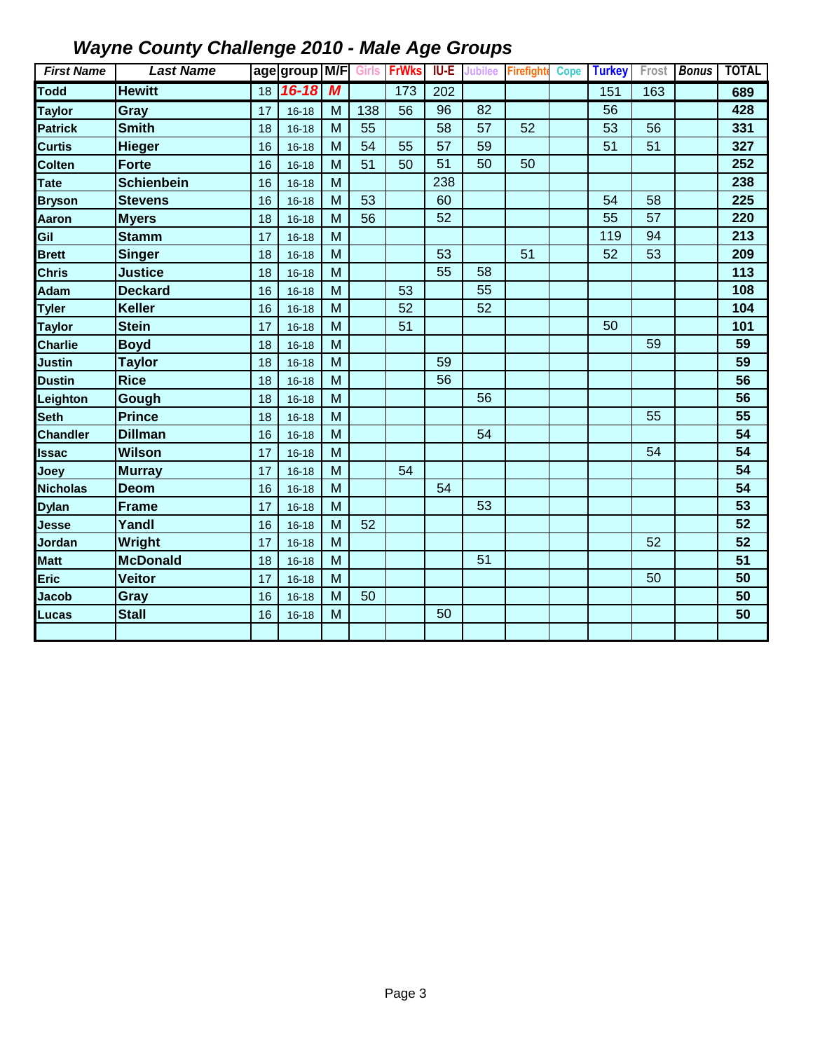| <b>First Name</b> | <b>Last Name</b>  |    | age group M/F Girls FrWks |                  |     |     | <b>IU-E</b> |    | Jubilee Firefight | Cope | <b>Turkey</b> |     | Frost <b>Bonus</b> | <b>TOTAL</b> |
|-------------------|-------------------|----|---------------------------|------------------|-----|-----|-------------|----|-------------------|------|---------------|-----|--------------------|--------------|
| <b>Todd</b>       | <b>Hewitt</b>     | 18 | $16 - 18$                 | $\boldsymbol{M}$ |     | 173 | 202         |    |                   |      | 151           | 163 |                    | 689          |
| <b>Taylor</b>     | Gray              | 17 | $16 - 18$                 | M                | 138 | 56  | 96          | 82 |                   |      | 56            |     |                    | 428          |
| <b>Patrick</b>    | <b>Smith</b>      | 18 | $16 - 18$                 | M                | 55  |     | 58          | 57 | 52                |      | 53            | 56  |                    | 331          |
| <b>Curtis</b>     | <b>Hieger</b>     | 16 | $16 - 18$                 | M                | 54  | 55  | 57          | 59 |                   |      | 51            | 51  |                    | 327          |
| Colten            | <b>Forte</b>      | 16 | $16 - 18$                 | M                | 51  | 50  | 51          | 50 | 50                |      |               |     |                    | 252          |
| Tate              | <b>Schienbein</b> | 16 | $16 - 18$                 | M                |     |     | 238         |    |                   |      |               |     |                    | 238          |
| <b>Bryson</b>     | <b>Stevens</b>    | 16 | $16 - 18$                 | M                | 53  |     | 60          |    |                   |      | 54            | 58  |                    | 225          |
| Aaron             | <b>Myers</b>      | 18 | $16 - 18$                 | M                | 56  |     | 52          |    |                   |      | 55            | 57  |                    | 220          |
| Gil               | <b>Stamm</b>      | 17 | $16 - 18$                 | M                |     |     |             |    |                   |      | 119           | 94  |                    | 213          |
| <b>Brett</b>      | <b>Singer</b>     | 18 | $16 - 18$                 | M                |     |     | 53          |    | 51                |      | 52            | 53  |                    | 209          |
| <b>Chris</b>      | <b>Justice</b>    | 18 | $16 - 18$                 | M                |     |     | 55          | 58 |                   |      |               |     |                    | 113          |
| Adam              | <b>Deckard</b>    | 16 | $16 - 18$                 | M                |     | 53  |             | 55 |                   |      |               |     |                    | 108          |
| <b>Tyler</b>      | <b>Keller</b>     | 16 | $16 - 18$                 | M                |     | 52  |             | 52 |                   |      |               |     |                    | 104          |
| <b>Taylor</b>     | <b>Stein</b>      | 17 | $16 - 18$                 | M                |     | 51  |             |    |                   |      | 50            |     |                    | 101          |
| <b>Charlie</b>    | <b>Boyd</b>       | 18 | $16 - 18$                 | M                |     |     |             |    |                   |      |               | 59  |                    | 59           |
| Justin            | <b>Taylor</b>     | 18 | $16 - 18$                 | M                |     |     | 59          |    |                   |      |               |     |                    | 59           |
| <b>Dustin</b>     | <b>Rice</b>       | 18 | $16 - 18$                 | M                |     |     | 56          |    |                   |      |               |     |                    | 56           |
| Leighton          | Gough             | 18 | $16 - 18$                 | M                |     |     |             | 56 |                   |      |               |     |                    | 56           |
| Seth              | <b>Prince</b>     | 18 | $16 - 18$                 | M                |     |     |             |    |                   |      |               | 55  |                    | 55           |
| <b>Chandler</b>   | <b>Dillman</b>    | 16 | $16 - 18$                 | M                |     |     |             | 54 |                   |      |               |     |                    | 54           |
| <b>Issac</b>      | <b>Wilson</b>     | 17 | $16 - 18$                 | M                |     |     |             |    |                   |      |               | 54  |                    | 54           |
| Joey              | <b>Murray</b>     | 17 | $16 - 18$                 | M                |     | 54  |             |    |                   |      |               |     |                    | 54           |
| <b>Nicholas</b>   | <b>Deom</b>       | 16 | $16 - 18$                 | M                |     |     | 54          |    |                   |      |               |     |                    | 54           |
| <b>Dylan</b>      | <b>Frame</b>      | 17 | $16 - 18$                 | M                |     |     |             | 53 |                   |      |               |     |                    | 53           |
| Jesse             | Yandl             | 16 | $16 - 18$                 | M                | 52  |     |             |    |                   |      |               |     |                    | 52           |
| Jordan            | Wright            | 17 | $16 - 18$                 | M                |     |     |             |    |                   |      |               | 52  |                    | 52           |
| <b>Matt</b>       | <b>McDonald</b>   | 18 | $16 - 18$                 | M                |     |     |             | 51 |                   |      |               |     |                    | 51           |
| <b>Eric</b>       | <b>Veitor</b>     | 17 | $16 - 18$                 | M                |     |     |             |    |                   |      |               | 50  |                    | 50           |
| <b>Jacob</b>      | <b>Gray</b>       | 16 | $16 - 18$                 | M                | 50  |     |             |    |                   |      |               |     |                    | 50           |
| Lucas             | <b>Stall</b>      | 16 | $16 - 18$                 | M                |     |     | 50          |    |                   |      |               |     |                    | 50           |
|                   |                   |    |                           |                  |     |     |             |    |                   |      |               |     |                    |              |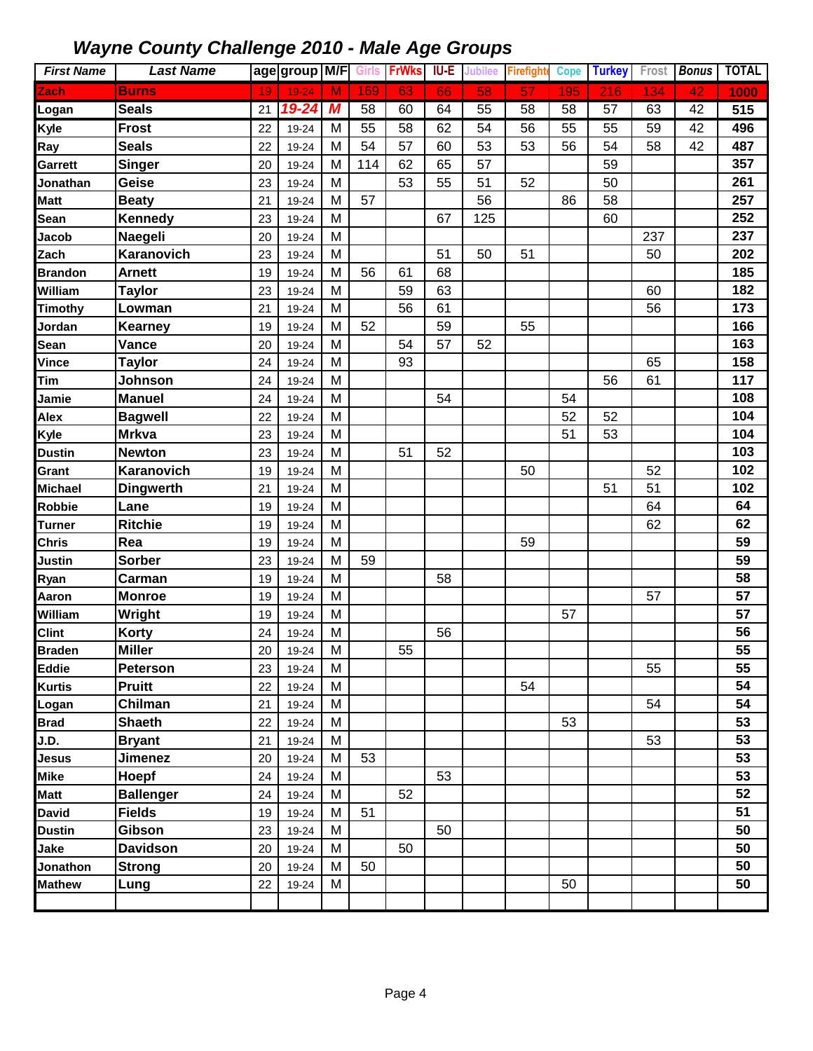| <b>First Name</b> | <b>Last Name</b> |    | age group M/F |   | <b>Girls</b> | <b>FrWks</b> | IU-E | Jubilee | Firefight | <b>Cope</b> | <b>Turkey</b> | Frost | <b>Bonus</b> | <b>TOTAL</b> |
|-------------------|------------------|----|---------------|---|--------------|--------------|------|---------|-----------|-------------|---------------|-------|--------------|--------------|
| Zach              | <b>Burns</b>     | 19 | $19 - 24$     | M | 169          | 63           | 66   | 58      | 57        | 195         | 216           | 134   | 42           | 1000         |
| Logan             | <b>Seals</b>     | 21 | 19-24         | M | 58           | 60           | 64   | 55      | 58        | 58          | 57            | 63    | 42           | 515          |
| <b>Kyle</b>       | <b>Frost</b>     | 22 | 19-24         | M | 55           | 58           | 62   | 54      | 56        | 55          | 55            | 59    | 42           | 496          |
| Ray               | <b>Seals</b>     | 22 | 19-24         | M | 54           | 57           | 60   | 53      | 53        | 56          | 54            | 58    | 42           | 487          |
| Garrett           | Singer           | 20 | 19-24         | M | 114          | 62           | 65   | 57      |           |             | 59            |       |              | 357          |
| Jonathan          | Geise            | 23 | 19-24         | M |              | 53           | 55   | 51      | 52        |             | 50            |       |              | 261          |
| Matt              | <b>Beaty</b>     | 21 | 19-24         | M | 57           |              |      | 56      |           | 86          | 58            |       |              | 257          |
| Sean              | Kennedy          | 23 | 19-24         | M |              |              | 67   | 125     |           |             | 60            |       |              | 252          |
| Jacob             | Naegeli          | 20 | 19-24         | M |              |              |      |         |           |             |               | 237   |              | 237          |
| Zach              | Karanovich       | 23 | 19-24         | M |              |              | 51   | 50      | 51        |             |               | 50    |              | 202          |
| <b>Brandon</b>    | <b>Arnett</b>    | 19 | 19-24         | M | 56           | 61           | 68   |         |           |             |               |       |              | 185          |
| William           | <b>Taylor</b>    | 23 | 19-24         | M |              | 59           | 63   |         |           |             |               | 60    |              | 182          |
| <b>Timothy</b>    | Lowman           | 21 | 19-24         | M |              | 56           | 61   |         |           |             |               | 56    |              | 173          |
| Jordan            | Kearney          | 19 | 19-24         | M | 52           |              | 59   |         | 55        |             |               |       |              | 166          |
| Sean              | Vance            | 20 | 19-24         | M |              | 54           | 57   | 52      |           |             |               |       |              | 163          |
| <b>Vince</b>      | <b>Taylor</b>    | 24 | 19-24         | M |              | 93           |      |         |           |             |               | 65    |              | 158          |
| Tim               | Johnson          | 24 | 19-24         | M |              |              |      |         |           |             | 56            | 61    |              | 117          |
| Jamie             | <b>Manuel</b>    | 24 | 19-24         | M |              |              | 54   |         |           | 54          |               |       |              | 108          |
| Alex              | <b>Bagwell</b>   | 22 | 19-24         | M |              |              |      |         |           | 52          | 52            |       |              | 104          |
| Kyle              | <b>Mrkva</b>     | 23 | 19-24         | M |              |              |      |         |           | 51          | 53            |       |              | 104          |
| <b>Dustin</b>     | <b>Newton</b>    | 23 | 19-24         | M |              | 51           | 52   |         |           |             |               |       |              | 103          |
| Grant             | Karanovich       | 19 | 19-24         | M |              |              |      |         | 50        |             |               | 52    |              | 102          |
| <b>Michael</b>    | <b>Dingwerth</b> | 21 | 19-24         | M |              |              |      |         |           |             | 51            | 51    |              | 102          |
| Robbie            | Lane             | 19 | 19-24         | M |              |              |      |         |           |             |               | 64    |              | 64           |
| <b>Turner</b>     | <b>Ritchie</b>   | 19 | 19-24         | M |              |              |      |         |           |             |               | 62    |              | 62           |
| <b>Chris</b>      | Rea              | 19 | 19-24         | M |              |              |      |         | 59        |             |               |       |              | 59           |
| Justin            | <b>Sorber</b>    | 23 | 19-24         | M | 59           |              |      |         |           |             |               |       |              | 59           |
| Ryan              | Carman           | 19 | 19-24         | M |              |              | 58   |         |           |             |               |       |              | 58           |
| Aaron             | <b>Monroe</b>    | 19 | 19-24         | M |              |              |      |         |           |             |               | 57    |              | 57           |
| William           | Wright           | 19 | 19-24         | M |              |              |      |         |           | 57          |               |       |              | 57           |
| <b>Clint</b>      | Korty            | 24 | 19-24         | M |              |              | 56   |         |           |             |               |       |              | 56           |
| <b>Braden</b>     | <b>Miller</b>    | 20 | 19-24         | M |              | 55           |      |         |           |             |               |       |              | 55           |
| <b>Eddie</b>      | <b>Peterson</b>  | 23 | 19-24         | M |              |              |      |         |           |             |               | 55    |              | 55           |
| <b>Kurtis</b>     | <b>Pruitt</b>    | 22 | 19-24         | M |              |              |      |         | 54        |             |               |       |              | 54           |
| Logan             | Chilman          | 21 | 19-24         | M |              |              |      |         |           |             |               | 54    |              | 54           |
| <b>Brad</b>       | <b>Shaeth</b>    | 22 | 19-24         | M |              |              |      |         |           | 53          |               |       |              | 53           |
| J.D.              | <b>Bryant</b>    | 21 | 19-24         | M |              |              |      |         |           |             |               | 53    |              | 53           |
| Jesus             | <b>Jimenez</b>   | 20 | 19-24         | M | 53           |              |      |         |           |             |               |       |              | 53           |
| Mike              | Hoepf            | 24 | 19-24         | M |              |              | 53   |         |           |             |               |       |              | 53           |
| <b>Matt</b>       | <b>Ballenger</b> | 24 | 19-24         | M |              | 52           |      |         |           |             |               |       |              | 52           |
| <b>David</b>      | <b>Fields</b>    | 19 | 19-24         | M | 51           |              |      |         |           |             |               |       |              | 51           |
| <b>Dustin</b>     | Gibson           | 23 | 19-24         | M |              |              | 50   |         |           |             |               |       |              | 50           |
| Jake              | <b>Davidson</b>  | 20 | 19-24         | M |              | 50           |      |         |           |             |               |       |              | 50           |
| Jonathon          | <b>Strong</b>    | 20 | 19-24         | M | 50           |              |      |         |           |             |               |       |              | 50           |
| <b>Mathew</b>     | Lung             | 22 | 19-24         | M |              |              |      |         |           | 50          |               |       |              | 50           |
|                   |                  |    |               |   |              |              |      |         |           |             |               |       |              |              |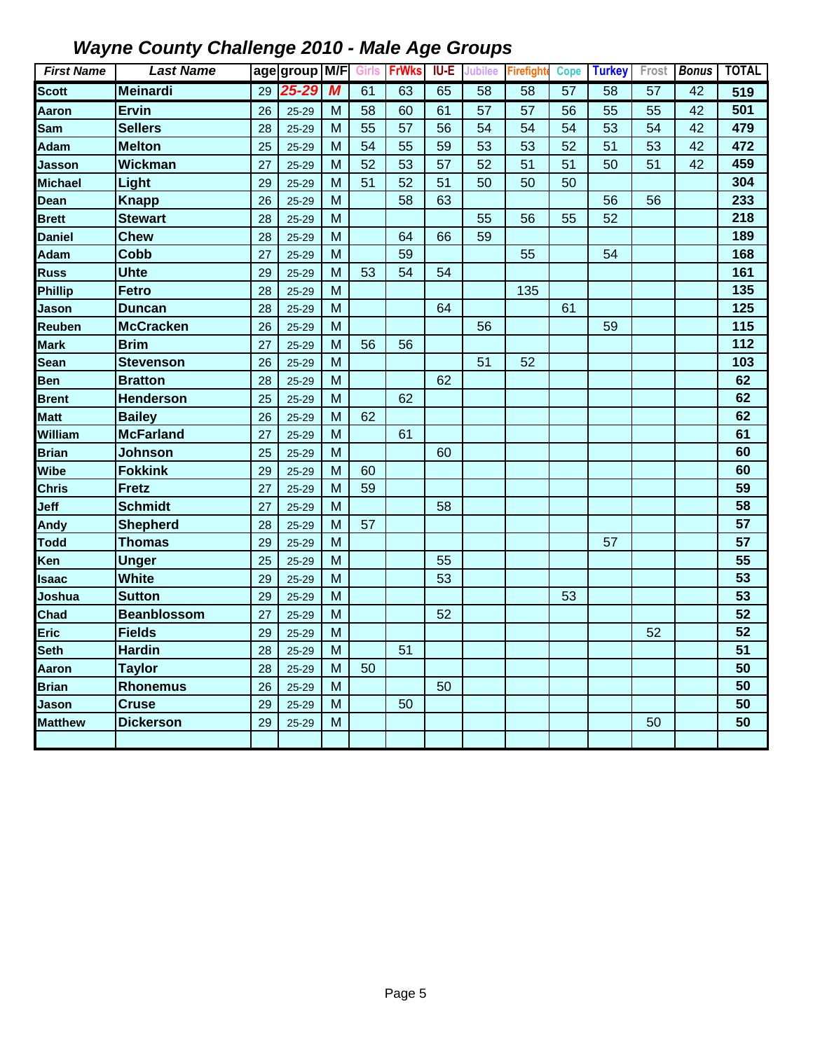| <b>First Name</b> | <b>Last Name</b>   |    | age group M/F |   | Girls | <b>FrWks</b> | <b>IU-E</b> | Jubilee         | <b>Firefight</b> | <b>Cope</b> | <b>Turkey</b> | Frost           | <b>Bonus</b> | <b>TOTAL</b> |
|-------------------|--------------------|----|---------------|---|-------|--------------|-------------|-----------------|------------------|-------------|---------------|-----------------|--------------|--------------|
| <b>Scott</b>      | <b>Meinardi</b>    | 29 | 25-29         | M | 61    | 63           | 65          | $\overline{58}$ | $\overline{58}$  | 57          | 58            | $\overline{57}$ | 42           | 519          |
| Aaron             | <b>Ervin</b>       | 26 | $25 - 29$     | M | 58    | 60           | 61          | 57              | 57               | 56          | 55            | 55              | 42           | 501          |
| Sam               | <b>Sellers</b>     | 28 | 25-29         | M | 55    | 57           | 56          | 54              | 54               | 54          | 53            | 54              | 42           | 479          |
| Adam              | <b>Melton</b>      | 25 | $25 - 29$     | M | 54    | 55           | 59          | 53              | 53               | 52          | 51            | 53              | 42           | 472          |
| Jasson            | <b>Wickman</b>     | 27 | 25-29         | M | 52    | 53           | 57          | 52              | 51               | 51          | 50            | 51              | 42           | 459          |
| Michael           | Light              | 29 | 25-29         | M | 51    | 52           | 51          | 50              | 50               | 50          |               |                 |              | 304          |
| Dean              | <b>Knapp</b>       | 26 | 25-29         | M |       | 58           | 63          |                 |                  |             | 56            | 56              |              | 233          |
| <b>Brett</b>      | <b>Stewart</b>     | 28 | 25-29         | M |       |              |             | 55              | 56               | 55          | 52            |                 |              | 218          |
| <b>Daniel</b>     | <b>Chew</b>        | 28 | 25-29         | M |       | 64           | 66          | 59              |                  |             |               |                 |              | 189          |
| Adam              | Cobb               | 27 | 25-29         | M |       | 59           |             |                 | 55               |             | 54            |                 |              | 168          |
| Russ              | <b>Uhte</b>        | 29 | 25-29         | M | 53    | 54           | 54          |                 |                  |             |               |                 |              | 161          |
| Phillip           | <b>Fetro</b>       | 28 | $25 - 29$     | M |       |              |             |                 | 135              |             |               |                 |              | 135          |
| Jason             | <b>Duncan</b>      | 28 | $25 - 29$     | M |       |              | 64          |                 |                  | 61          |               |                 |              | 125          |
| Reuben            | <b>McCracken</b>   | 26 | $25 - 29$     | M |       |              |             | 56              |                  |             | 59            |                 |              | 115          |
| Mark              | <b>Brim</b>        | 27 | $25 - 29$     | M | 56    | 56           |             |                 |                  |             |               |                 |              | 112          |
| Sean              | <b>Stevenson</b>   | 26 | $25 - 29$     | M |       |              |             | 51              | 52               |             |               |                 |              | 103          |
| Ben               | <b>Bratton</b>     | 28 | 25-29         | M |       |              | 62          |                 |                  |             |               |                 |              | 62           |
| <b>Brent</b>      | <b>Henderson</b>   | 25 | 25-29         | M |       | 62           |             |                 |                  |             |               |                 |              | 62           |
| <b>Matt</b>       | <b>Bailey</b>      | 26 | $25 - 29$     | M | 62    |              |             |                 |                  |             |               |                 |              | 62           |
| William           | <b>McFarland</b>   | 27 | $25 - 29$     | M |       | 61           |             |                 |                  |             |               |                 |              | 61           |
| <b>Brian</b>      | <b>Johnson</b>     | 25 | $25 - 29$     | M |       |              | 60          |                 |                  |             |               |                 |              | 60           |
| Wibe              | <b>Fokkink</b>     | 29 | $25 - 29$     | M | 60    |              |             |                 |                  |             |               |                 |              | 60           |
| <b>Chris</b>      | <b>Fretz</b>       | 27 | $25 - 29$     | M | 59    |              |             |                 |                  |             |               |                 |              | 59           |
| Jeff              | <b>Schmidt</b>     | 27 | 25-29         | M |       |              | 58          |                 |                  |             |               |                 |              | 58           |
| Andy              | <b>Shepherd</b>    | 28 | 25-29         | М | 57    |              |             |                 |                  |             |               |                 |              | 57           |
| Todd              | Thomas             | 29 | 25-29         | M |       |              |             |                 |                  |             | 57            |                 |              | 57           |
| Ken               | <b>Unger</b>       | 25 | 25-29         | M |       |              | 55          |                 |                  |             |               |                 |              | 55           |
| Isaac             | <b>White</b>       | 29 | 25-29         | M |       |              | 53          |                 |                  |             |               |                 |              | 53           |
| Joshua            | <b>Sutton</b>      | 29 | 25-29         | M |       |              |             |                 |                  | 53          |               |                 |              | 53           |
| Chad              | <b>Beanblossom</b> | 27 | $25 - 29$     | M |       |              | 52          |                 |                  |             |               |                 |              | 52           |
| Eric              | <b>Fields</b>      | 29 | $25 - 29$     | M |       |              |             |                 |                  |             |               | 52              |              | 52           |
| Seth              | <b>Hardin</b>      | 28 | $25 - 29$     | M |       | 51           |             |                 |                  |             |               |                 |              | 51           |
| Aaron             | <b>Taylor</b>      | 28 | $25 - 29$     | M | 50    |              |             |                 |                  |             |               |                 |              | 50           |
| <b>Brian</b>      | <b>Rhonemus</b>    | 26 | $25 - 29$     | M |       |              | 50          |                 |                  |             |               |                 |              | 50           |
| Jason             | <b>Cruse</b>       | 29 | $25 - 29$     | M |       | 50           |             |                 |                  |             |               |                 |              | 50           |
| <b>Matthew</b>    | <b>Dickerson</b>   | 29 | $25 - 29$     | M |       |              |             |                 |                  |             |               | 50              |              | 50           |
|                   |                    |    |               |   |       |              |             |                 |                  |             |               |                 |              |              |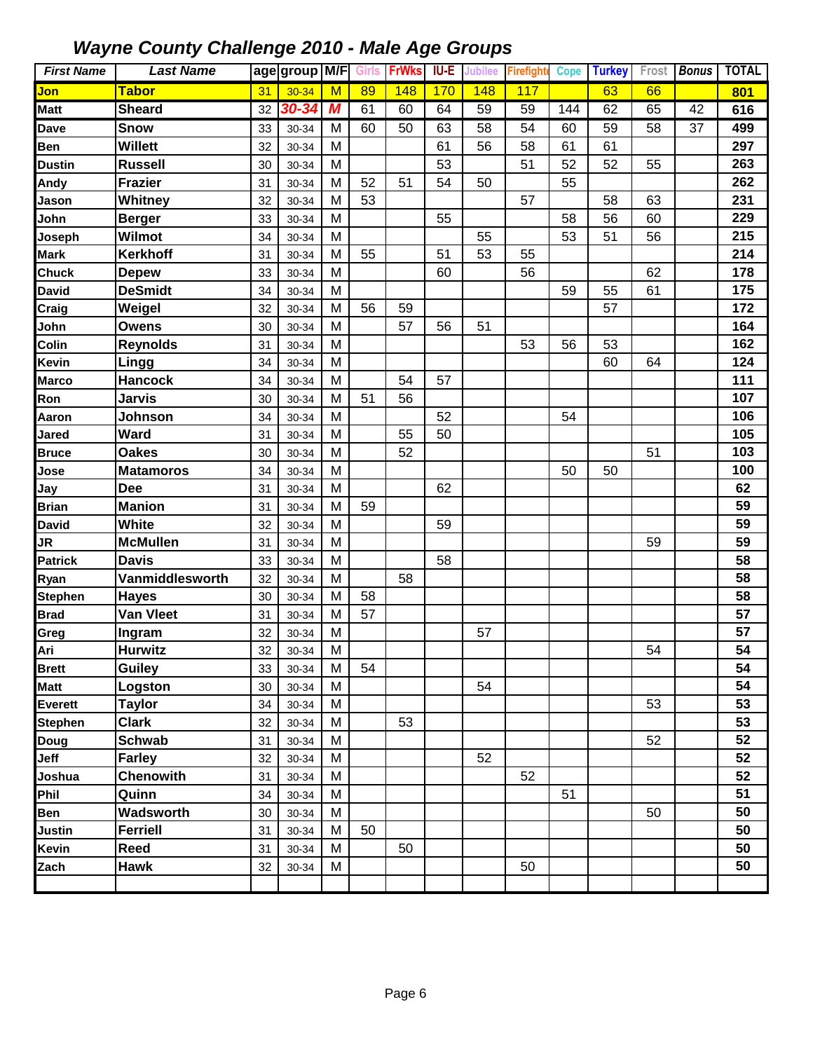| <b>First Name</b> | <b>Last Name</b> |    | age group M/F |   | <b>Girls</b> | <b>FrWks</b> | IU-E | Jubilee | <b>Firefight</b> | <b>Cope</b> | <b>Turkey</b> | Frost | <b>Bonus</b> | <b>TOTAL</b> |
|-------------------|------------------|----|---------------|---|--------------|--------------|------|---------|------------------|-------------|---------------|-------|--------------|--------------|
| Jon               | <b>Tabor</b>     | 31 | $30 - 34$     | M | 89           | 148          | 170  | 148     | 117              |             | 63            | 66    |              | 801          |
| <b>Matt</b>       | <b>Sheard</b>    | 32 | 30-34         | M | 61           | 60           | 64   | 59      | 59               | 144         | 62            | 65    | 42           | 616          |
| Dave              | <b>Snow</b>      | 33 | 30-34         | M | 60           | 50           | 63   | 58      | 54               | 60          | 59            | 58    | 37           | 499          |
| Ben               | <b>Willett</b>   | 32 | 30-34         | M |              |              | 61   | 56      | 58               | 61          | 61            |       |              | 297          |
| <b>Dustin</b>     | <b>Russell</b>   | 30 | 30-34         | M |              |              | 53   |         | 51               | 52          | 52            | 55    |              | 263          |
| Andy              | <b>Frazier</b>   | 31 | 30-34         | M | 52           | 51           | 54   | 50      |                  | 55          |               |       |              | 262          |
| Jason             | Whitney          | 32 | 30-34         | M | 53           |              |      |         | 57               |             | 58            | 63    |              | 231          |
| John              | <b>Berger</b>    | 33 | 30-34         | M |              |              | 55   |         |                  | 58          | 56            | 60    |              | 229          |
| Joseph            | Wilmot           | 34 | 30-34         | M |              |              |      | 55      |                  | 53          | 51            | 56    |              | 215          |
| <b>Mark</b>       | <b>Kerkhoff</b>  | 31 | 30-34         | M | 55           |              | 51   | 53      | 55               |             |               |       |              | 214          |
| <b>Chuck</b>      | <b>Depew</b>     | 33 | 30-34         | M |              |              | 60   |         | 56               |             |               | 62    |              | 178          |
| <b>David</b>      | <b>DeSmidt</b>   | 34 | 30-34         | M |              |              |      |         |                  | 59          | 55            | 61    |              | 175          |
| Craig             | Weigel           | 32 | 30-34         | M | 56           | 59           |      |         |                  |             | 57            |       |              | 172          |
| John              | <b>Owens</b>     | 30 | 30-34         | M |              | 57           | 56   | 51      |                  |             |               |       |              | 164          |
| Colin             | <b>Reynolds</b>  | 31 | 30-34         | M |              |              |      |         | 53               | 56          | 53            |       |              | 162          |
| Kevin             | Lingg            | 34 | 30-34         | M |              |              |      |         |                  |             | 60            | 64    |              | 124          |
| <b>Marco</b>      | <b>Hancock</b>   | 34 | 30-34         | M |              | 54           | 57   |         |                  |             |               |       |              | 111          |
| Ron               | <b>Jarvis</b>    | 30 | 30-34         | M | 51           | 56           |      |         |                  |             |               |       |              | 107          |
| Aaron             | Johnson          | 34 | 30-34         | M |              |              | 52   |         |                  | 54          |               |       |              | 106          |
| Jared             | <b>Ward</b>      | 31 | 30-34         | M |              | 55           | 50   |         |                  |             |               |       |              | 105          |
| <b>Bruce</b>      | <b>Oakes</b>     | 30 | 30-34         | M |              | 52           |      |         |                  |             |               | 51    |              | 103          |
| Jose              | <b>Matamoros</b> | 34 | 30-34         | M |              |              |      |         |                  | 50          | 50            |       |              | 100          |
| Jay               | <b>Dee</b>       | 31 | 30-34         | M |              |              | 62   |         |                  |             |               |       |              | 62           |
| <b>Brian</b>      | <b>Manion</b>    | 31 | 30-34         | M | 59           |              |      |         |                  |             |               |       |              | 59           |
| <b>David</b>      | <b>White</b>     | 32 | 30-34         | M |              |              | 59   |         |                  |             |               |       |              | 59           |
| JR                | <b>McMullen</b>  | 31 | 30-34         | M |              |              |      |         |                  |             |               | 59    |              | 59           |
| <b>Patrick</b>    | <b>Davis</b>     | 33 | 30-34         | M |              |              | 58   |         |                  |             |               |       |              | 58           |
| Ryan              | Vanmiddlesworth  | 32 | 30-34         | M |              | 58           |      |         |                  |             |               |       |              | 58           |
| <b>Stephen</b>    | <b>Hayes</b>     | 30 | 30-34         | M | 58           |              |      |         |                  |             |               |       |              | 58           |
| <b>Brad</b>       | <b>Van Vleet</b> | 31 | 30-34         | M | 57           |              |      |         |                  |             |               |       |              | 57           |
| Greg              | Ingram           | 32 | 30-34         | M |              |              |      | 57      |                  |             |               |       |              | 57           |
| Ari               | <b>Hurwitz</b>   | 32 | 30-34         | M |              |              |      |         |                  |             |               | 54    |              | 54           |
| <b>Brett</b>      | <b>Guiley</b>    | 33 | 30-34         | M | 54           |              |      |         |                  |             |               |       |              | 54           |
| <b>Matt</b>       | Logston          | 30 | 30-34         | M |              |              |      | 54      |                  |             |               |       |              | 54           |
| Everett           | <b>Taylor</b>    | 34 | 30-34         | M |              |              |      |         |                  |             |               | 53    |              | 53           |
| <b>Stephen</b>    | <b>Clark</b>     | 32 | 30-34         | M |              | 53           |      |         |                  |             |               |       |              | 53           |
| Doug              | <b>Schwab</b>    | 31 | 30-34         | M |              |              |      |         |                  |             |               | 52    |              | 52           |
| Jeff              | <b>Farley</b>    | 32 | 30-34         | M |              |              |      | 52      |                  |             |               |       |              | 52           |
| Joshua            | <b>Chenowith</b> | 31 | 30-34         | M |              |              |      |         | 52               |             |               |       |              | 52           |
| Phil              | Quinn            | 34 | 30-34         | M |              |              |      |         |                  | 51          |               |       |              | 51           |
| Ben               | Wadsworth        | 30 | 30-34         | M |              |              |      |         |                  |             |               | 50    |              | 50           |
| Justin            | <b>Ferriell</b>  | 31 | 30-34         | M | 50           |              |      |         |                  |             |               |       |              | 50           |
| Kevin             | Reed             | 31 | 30-34         | M |              | 50           |      |         |                  |             |               |       |              | 50           |
| Zach              | <b>Hawk</b>      | 32 | 30-34         | M |              |              |      |         | 50               |             |               |       |              | 50           |
|                   |                  |    |               |   |              |              |      |         |                  |             |               |       |              |              |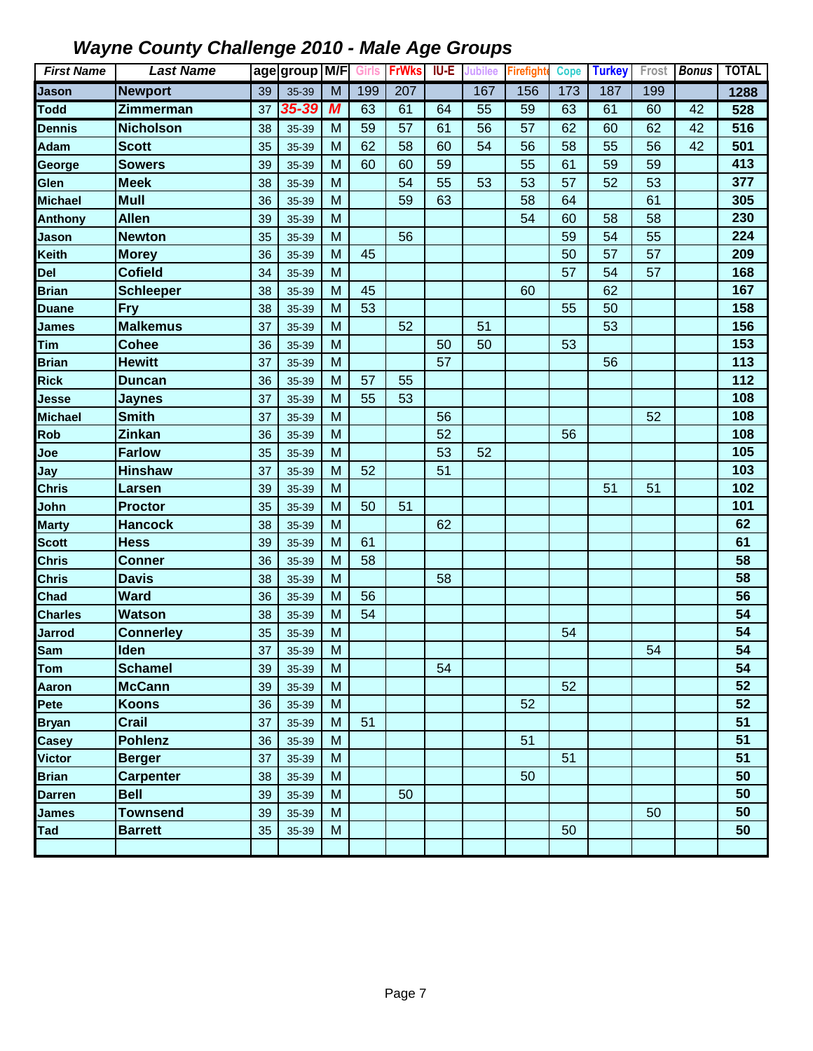| <b>First Name</b> | <b>Last Name</b> |    | age group M/F |   | Girls | <b>FrWks</b> | IU-E | <b>Jubilee</b> | <b>Firefight</b> | <b>Cope</b> | <b>Turkey</b> | Frost | <b>Bonus</b> | <b>TOTAL</b> |
|-------------------|------------------|----|---------------|---|-------|--------------|------|----------------|------------------|-------------|---------------|-------|--------------|--------------|
| <b>Jason</b>      | <b>Newport</b>   | 39 | 35-39         | M | 199   | 207          |      | 167            | 156              | 173         | 187           | 199   |              | 1288         |
| <b>Todd</b>       | Zimmerman        | 37 | $35 - 39$     | M | 63    | 61           | 64   | 55             | 59               | 63          | 61            | 60    | 42           | 528          |
| <b>Dennis</b>     | <b>Nicholson</b> | 38 | 35-39         | M | 59    | 57           | 61   | 56             | 57               | 62          | 60            | 62    | 42           | 516          |
| <b>Adam</b>       | <b>Scott</b>     | 35 | 35-39         | M | 62    | 58           | 60   | 54             | 56               | 58          | 55            | 56    | 42           | 501          |
| George            | <b>Sowers</b>    | 39 | 35-39         | M | 60    | 60           | 59   |                | 55               | 61          | 59            | 59    |              | 413          |
| Glen              | <b>Meek</b>      | 38 | 35-39         | M |       | 54           | 55   | 53             | 53               | 57          | 52            | 53    |              | 377          |
| <b>Michael</b>    | <b>Mull</b>      | 36 | 35-39         | M |       | 59           | 63   |                | 58               | 64          |               | 61    |              | 305          |
| <b>Anthony</b>    | <b>Allen</b>     | 39 | 35-39         | M |       |              |      |                | 54               | 60          | 58            | 58    |              | 230          |
| Jason             | <b>Newton</b>    | 35 | 35-39         | M |       | 56           |      |                |                  | 59          | 54            | 55    |              | 224          |
| <b>Keith</b>      | <b>Morey</b>     | 36 | 35-39         | M | 45    |              |      |                |                  | 50          | 57            | 57    |              | 209          |
| Del               | <b>Cofield</b>   | 34 | 35-39         | M |       |              |      |                |                  | 57          | 54            | 57    |              | 168          |
| <b>Brian</b>      | <b>Schleeper</b> | 38 | 35-39         | M | 45    |              |      |                | 60               |             | 62            |       |              | 167          |
| <b>Duane</b>      | <b>Fry</b>       | 38 | 35-39         | M | 53    |              |      |                |                  | 55          | 50            |       |              | 158          |
| <b>James</b>      | <b>Malkemus</b>  | 37 | 35-39         | M |       | 52           |      | 51             |                  |             | 53            |       |              | 156          |
| Tim               | <b>Cohee</b>     | 36 | 35-39         | M |       |              | 50   | 50             |                  | 53          |               |       |              | 153          |
| <b>Brian</b>      | <b>Hewitt</b>    | 37 | 35-39         | M |       |              | 57   |                |                  |             | 56            |       |              | 113          |
| <b>Rick</b>       | <b>Duncan</b>    | 36 | 35-39         | M | 57    | 55           |      |                |                  |             |               |       |              | 112          |
| Jesse             | <b>Jaynes</b>    | 37 | 35-39         | M | 55    | 53           |      |                |                  |             |               |       |              | 108          |
| <b>Michael</b>    | <b>Smith</b>     | 37 | 35-39         | M |       |              | 56   |                |                  |             |               | 52    |              | 108          |
| Rob               | Zinkan           | 36 | 35-39         | M |       |              | 52   |                |                  | 56          |               |       |              | 108          |
| Joe               | <b>Farlow</b>    | 35 | 35-39         | M |       |              | 53   | 52             |                  |             |               |       |              | 105          |
| Jay               | <b>Hinshaw</b>   | 37 | 35-39         | M | 52    |              | 51   |                |                  |             |               |       |              | 103          |
| Chris             | Larsen           | 39 | 35-39         | M |       |              |      |                |                  |             | 51            | 51    |              | 102          |
| John              | <b>Proctor</b>   | 35 | 35-39         | M | 50    | 51           |      |                |                  |             |               |       |              | 101          |
| <b>Marty</b>      | <b>Hancock</b>   | 38 | 35-39         | M |       |              | 62   |                |                  |             |               |       |              | 62           |
| <b>Scott</b>      | <b>Hess</b>      | 39 | 35-39         | M | 61    |              |      |                |                  |             |               |       |              | 61           |
| <b>Chris</b>      | <b>Conner</b>    | 36 | 35-39         | M | 58    |              |      |                |                  |             |               |       |              | 58           |
| <b>Chris</b>      | <b>Davis</b>     | 38 | 35-39         | M |       |              | 58   |                |                  |             |               |       |              | 58           |
| Chad              | <b>Ward</b>      | 36 | 35-39         | M | 56    |              |      |                |                  |             |               |       |              | 56           |
| <b>Charles</b>    | <b>Watson</b>    | 38 | 35-39         | M | 54    |              |      |                |                  |             |               |       |              | 54           |
| <b>Jarrod</b>     | <b>Connerley</b> | 35 | 35-39         | M |       |              |      |                |                  | 54          |               |       |              | 54           |
| <b>Sam</b>        | Iden             | 37 | 35-39         | M |       |              |      |                |                  |             |               | 54    |              | 54           |
| Tom               | <b>Schamel</b>   | 39 | 35-39         | M |       |              | 54   |                |                  |             |               |       |              | 54           |
| Aaron             | <b>McCann</b>    | 39 | 35-39         | M |       |              |      |                |                  | 52          |               |       |              | 52           |
| Pete              | <b>Koons</b>     | 36 | 35-39         | M |       |              |      |                | 52               |             |               |       |              | 52           |
| <b>Bryan</b>      | Crail            | 37 | 35-39         | M | 51    |              |      |                |                  |             |               |       |              | 51           |
| <b>Casey</b>      | <b>Pohlenz</b>   | 36 | 35-39         | M |       |              |      |                | 51               |             |               |       |              | 51           |
| Victor            | <b>Berger</b>    | 37 | 35-39         | M |       |              |      |                |                  | 51          |               |       |              | 51           |
| <b>Brian</b>      | <b>Carpenter</b> | 38 | 35-39         | M |       |              |      |                | 50               |             |               |       |              | 50           |
| Darren            | <b>Bell</b>      | 39 | 35-39         | M |       | 50           |      |                |                  |             |               |       |              | 50           |
| <b>James</b>      | <b>Townsend</b>  | 39 | 35-39         | M |       |              |      |                |                  |             |               | 50    |              | 50           |
| Tad               | <b>Barrett</b>   | 35 | 35-39         | M |       |              |      |                |                  | 50          |               |       |              | 50           |
|                   |                  |    |               |   |       |              |      |                |                  |             |               |       |              |              |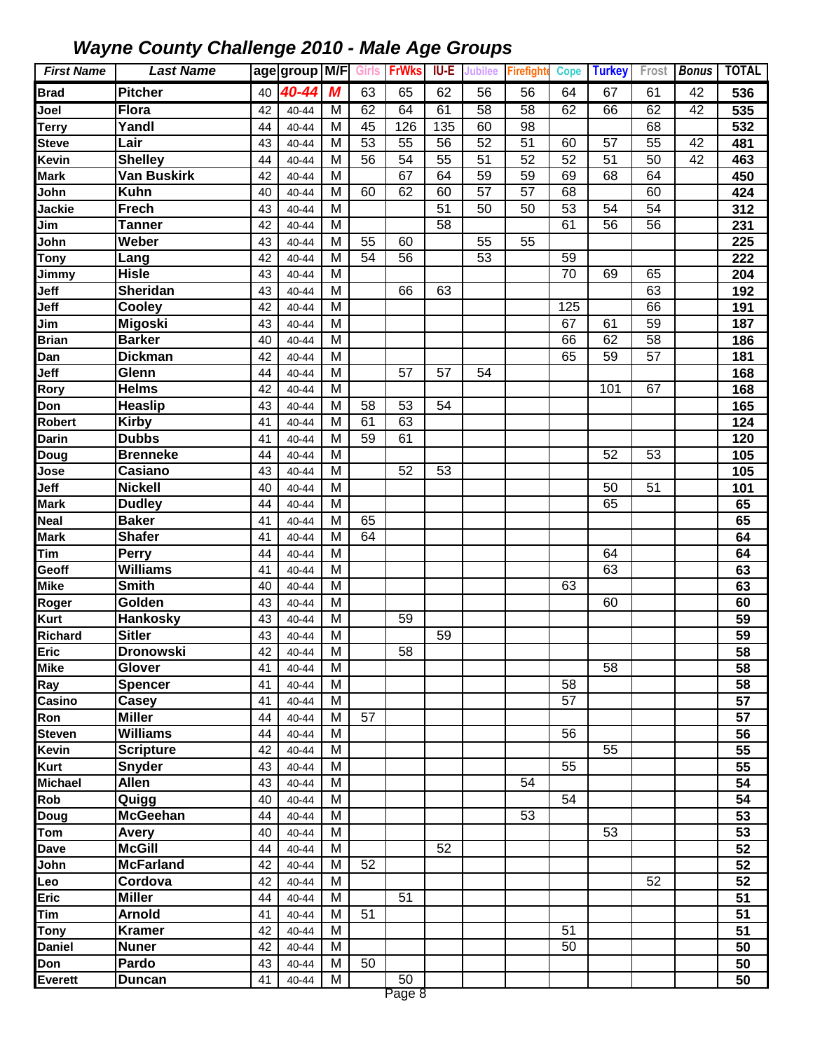| <b>First Name</b> | <b>Last Name</b>               |          | age group M/F Girls |                |                 | <b>FrWks</b> | IU-E            | <b>Jubilee</b>  | <b>Firefight</b> | <b>Cope</b>     | <b>Turkey</b>   | Frost           | <b>Bonus</b> | <b>TOTAL</b>    |
|-------------------|--------------------------------|----------|---------------------|----------------|-----------------|--------------|-----------------|-----------------|------------------|-----------------|-----------------|-----------------|--------------|-----------------|
| <b>Brad</b>       | <b>Pitcher</b>                 | 40       | 40-44               | M              | 63              | 65           | 62              | 56              | 56               | 64              | 67              | 61              | 42           | 536             |
| Joel              | <b>Flora</b>                   | 42       | 40-44               | M              | 62              | 64           | 61              | $\overline{58}$ | 58               | 62              | 66              | 62              | 42           | 535             |
| Terry             | Yandl                          | 44       | 40-44               | M              | 45              | 126          | 135             | 60              | 98               |                 |                 | 68              |              | 532             |
| <b>Steve</b>      | Lair                           | 43       | 40-44               | M              | $\overline{53}$ | 55           | $\overline{56}$ | 52              | 51               | 60              | 57              | 55              | 42           | 481             |
| Kevin             | <b>Shelley</b>                 | 44       | 40-44               | M              | 56              | 54           | 55              | 51              | 52               | 52              | 51              | 50              | 42           | 463             |
| <b>Mark</b>       | <b>Van Buskirk</b>             | 42       | 40-44               | M              |                 | 67           | 64              | 59              | 59               | 69              | 68              | 64              |              | 450             |
| John              | <b>Kuhn</b>                    | 40       | 40-44               | M              | 60              | 62           | 60              | 57              | 57               | 68              |                 | 60              |              | 424             |
| Jackie            | <b>Frech</b>                   | 43       | 40-44               | M              |                 |              | $\overline{51}$ | $\overline{50}$ | 50               | 53              | 54              | $\overline{54}$ |              | 312             |
| Jim               | <b>Tanner</b>                  | 42       | 40-44               | M              |                 |              | $\overline{58}$ |                 |                  | 61              | $\overline{56}$ | $\overline{56}$ |              | 231             |
| John              | Weber                          | 43       | 40-44               | M              | 55              | 60           |                 | 55              | $\overline{55}$  |                 |                 |                 |              | 225             |
| <b>Tony</b>       | Lang                           | 42       | 40-44               | M              | $\overline{54}$ | 56           |                 | $\overline{53}$ |                  | 59              |                 |                 |              | 222             |
| <b>Jimmy</b>      | <b>Hisle</b>                   | 43       | 40-44               | $\overline{M}$ |                 |              |                 |                 |                  | $\overline{70}$ | 69              | 65              |              | 204             |
| Jeff              | <b>Sheridan</b>                | 43       | 40-44               | M              |                 | 66           | 63              |                 |                  |                 |                 | 63              |              | 192             |
| Jeff              | Cooley                         | 42       | 40-44               | $\overline{M}$ |                 |              |                 |                 |                  | 125             |                 | 66              |              | 191             |
| Jim               | <b>Migoski</b>                 | 43       | 40-44               | M              |                 |              |                 |                 |                  | 67              | 61              | 59              |              | 187             |
| <b>Brian</b>      | <b>Barker</b>                  | 40       | 40-44               | $\overline{M}$ |                 |              |                 |                 |                  | 66              | 62              | 58              |              | 186             |
| Dan               | <b>Dickman</b>                 | 42       | 40-44               | M              |                 |              |                 |                 |                  | 65              | 59              | 57              |              | 181             |
| Jeff              | Glenn<br><b>Helms</b>          | 44       | 40-44               | M              |                 | 57           | 57              | 54              |                  |                 |                 |                 |              | 168             |
| Rory              |                                | 42       | 40-44               | M              |                 |              | 54              |                 |                  |                 | 101             | 67              |              | 168             |
| Don<br>Robert     | <b>Heaslip</b><br><b>Kirby</b> | 43<br>41 | 40-44               | M<br>M         | 58<br>61        | 53<br>63     |                 |                 |                  |                 |                 |                 |              | 165<br>124      |
| <b>Darin</b>      | <b>Dubbs</b>                   | 41       | 40-44<br>40-44      | M              | 59              | 61           |                 |                 |                  |                 |                 |                 |              | 120             |
| Doug              | <b>Brenneke</b>                | 44       | 40-44               | M              |                 |              |                 |                 |                  |                 | 52              | 53              |              | 105             |
| Jose              | Casiano                        | 43       | 40-44               | M              |                 | 52           | 53              |                 |                  |                 |                 |                 |              | 105             |
| Jeff              | <b>Nickell</b>                 | 40       | 40-44               | M              |                 |              |                 |                 |                  |                 | 50              | 51              |              | 101             |
| Mark              | <b>Dudley</b>                  | 44       | 40-44               | M              |                 |              |                 |                 |                  |                 | 65              |                 |              | 65              |
| Neal              | <b>Baker</b>                   | 41       | 40-44               | M              | 65              |              |                 |                 |                  |                 |                 |                 |              | 65              |
| <b>Mark</b>       | <b>Shafer</b>                  | 41       | 40-44               | M              | 64              |              |                 |                 |                  |                 |                 |                 |              | 64              |
| Tim               | Perry                          | 44       | 40-44               | M              |                 |              |                 |                 |                  |                 | 64              |                 |              | 64              |
| Geoff             | <b>Williams</b>                | 41       | 40-44               | M              |                 |              |                 |                 |                  |                 | 63              |                 |              | 63              |
| Mike              | <b>Smith</b>                   | 40       | 40-44               | M              |                 |              |                 |                 |                  | 63              |                 |                 |              | 63              |
| Roger             | Golden                         | 43       | 40-44               | M              |                 |              |                 |                 |                  |                 | 60              |                 |              | 60              |
| Kurt              | <b>Hankosky</b>                | 43       | 40-44               | M              |                 | 59           |                 |                 |                  |                 |                 |                 |              | 59              |
| Richard           | <b>Sitler</b>                  | 43       | 40-44               | M              |                 |              | 59              |                 |                  |                 |                 |                 |              | 59              |
| <b>Eric</b>       | <b>Dronowski</b>               | 42       | 40-44               | M              |                 | 58           |                 |                 |                  |                 |                 |                 |              | 58              |
| <b>Mike</b>       | Glover                         | 41       | $40 - 44$           | M              |                 |              |                 |                 |                  |                 | 58              |                 |              | 58              |
| Ray               | <b>Spencer</b>                 | 41       | 40-44               | M              |                 |              |                 |                 |                  | 58              |                 |                 |              | 58              |
| Casino            | Casey                          | 41       | 40-44               | M              |                 |              |                 |                 |                  | 57              |                 |                 |              | 57              |
| Ron               | <b>Miller</b>                  | 44       | 40-44               | M              | $\overline{57}$ |              |                 |                 |                  |                 |                 |                 |              | 57              |
| <b>Steven</b>     | <b>Williams</b>                | 44       | 40-44               | M              |                 |              |                 |                 |                  | 56              |                 |                 |              | 56              |
| Kevin             | <b>Scripture</b>               | 42       | 40-44               | M              |                 |              |                 |                 |                  |                 | $\overline{55}$ |                 |              | $\overline{55}$ |
| Kurt              | Snyder                         | 43       | $40 - 44$           | M              |                 |              |                 |                 |                  | $\overline{55}$ |                 |                 |              | 55              |
| <b>Michael</b>    | Allen                          | 43       | 40-44               | M              |                 |              |                 |                 | 54               |                 |                 |                 |              | 54              |
| Rob               | Quigg                          | 40       | 40-44               | M              |                 |              |                 |                 |                  | 54              |                 |                 |              | 54              |
| Doug              | <b>McGeehan</b>                | 44       | $40 - 44$           | M              |                 |              |                 |                 | 53               |                 |                 |                 |              | 53              |
| Tom               | Avery                          | 40       | 40-44               | M              |                 |              |                 |                 |                  |                 | 53              |                 |              | 53              |
| Dave              | <b>McGill</b>                  | 44       | 40-44               | M              |                 |              | 52              |                 |                  |                 |                 |                 |              | 52              |
| John              | <b>McFarland</b>               | 42       | 40-44               | M              | 52              |              |                 |                 |                  |                 |                 |                 |              | 52              |
| Leo               | Cordova                        | 42       | 40-44               | M              |                 |              |                 |                 |                  |                 |                 | 52              |              | 52              |
| Eric              | <b>Miller</b>                  | 44       | 40-44               | M              |                 | 51           |                 |                 |                  |                 |                 |                 |              | 51              |
| Tim               | <b>Arnold</b>                  | 41       | 40-44               | M              | 51              |              |                 |                 |                  |                 |                 |                 |              | 51              |
| Tony              | <b>Kramer</b>                  | 42       | 40-44               | M              |                 |              |                 |                 |                  | 51              |                 |                 |              | 51              |
| <b>Daniel</b>     | <b>Nuner</b>                   | 42       | $40 - 44$           | M              |                 |              |                 |                 |                  | 50              |                 |                 |              | 50              |
| Don               | Pardo                          | 43       | $40 - 44$           | M              | 50              |              |                 |                 |                  |                 |                 |                 |              | 50              |
| Everett           | <b>Duncan</b>                  | 41       | 40-44               | M              |                 | 50<br>R ancO |                 |                 |                  |                 |                 |                 |              | 50              |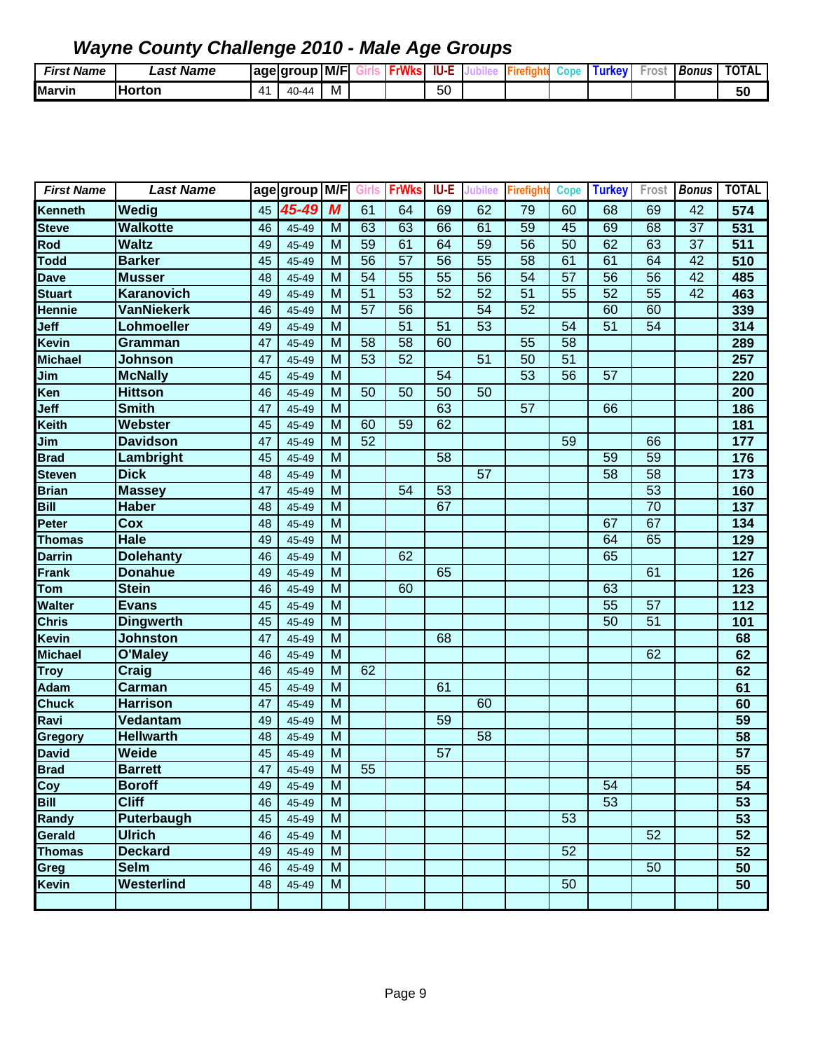| <b>Name</b><br>First. | ast Name.     |    | age group                 | M/F | <b>MILL</b> | IU-E |  | Cop | ими | ros | <b>Bonus</b> | TOTAL |
|-----------------------|---------------|----|---------------------------|-----|-------------|------|--|-----|-----|-----|--------------|-------|
| <b>Marvin</b>         | <b>Horton</b> | ∕∣ | $\sim$<br>$\Delta$<br>-44 | M   |             | 50   |  |     |     |     |              | 50    |

| <b>First Name</b> | <b>Last Name</b>  |    | age group M/F Girls |                |    | <b>FrWks</b>    | <b>IU-E</b>     | <b>Jubilee</b>  | <b>Firefight</b> | <b>Cope</b> | <b>Turkey</b>   |                 | Frost Bonus     | <b>TOTAL</b>    |
|-------------------|-------------------|----|---------------------|----------------|----|-----------------|-----------------|-----------------|------------------|-------------|-----------------|-----------------|-----------------|-----------------|
| Kenneth           | Wedig             | 45 | 45-49               | M              | 61 | 64              | 69              | 62              | 79               | 60          | 68              | 69              | 42              | 574             |
| <b>Steve</b>      | <b>Walkotte</b>   | 46 | 45-49               | M              | 63 | 63              | 66              | 61              | 59               | 45          | 69              | 68              | $\overline{37}$ | 531             |
| Rod               | <b>Waltz</b>      | 49 | 45-49               | M              | 59 | 61              | 64              | $\overline{59}$ | 56               | 50          | 62              | 63              | 37              | 511             |
| <b>Todd</b>       | <b>Barker</b>     | 45 | 45-49               | M              | 56 | $\overline{57}$ | $\overline{56}$ | $\overline{55}$ | 58               | 61          | 61              | 64              | 42              | 510             |
| <b>Dave</b>       | <b>Musser</b>     | 48 | 45-49               | M              | 54 | $\overline{55}$ | $\overline{55}$ | $\overline{56}$ | 54               | 57          | 56              | 56              | 42              | 485             |
| <b>Stuart</b>     | Karanovich        | 49 | 45-49               | M              | 51 | 53              | 52              | 52              | 51               | 55          | 52              | 55              | 42              | 463             |
| <b>Hennie</b>     | <b>VanNiekerk</b> | 46 | 45-49               | M              | 57 | 56              |                 | 54              | 52               |             | 60              | 60              |                 | 339             |
| Jeff              | Lohmoeller        | 49 | 45-49               | M              |    | 51              | 51              | 53              |                  | 54          | $\overline{51}$ | $\overline{54}$ |                 | 314             |
| Kevin             | Gramman           | 47 | 45-49               | M              | 58 | 58              | 60              |                 | 55               | 58          |                 |                 |                 | 289             |
| <b>Michael</b>    | <b>Johnson</b>    | 47 | 45-49               | M              | 53 | 52              |                 | 51              | 50               | 51          |                 |                 |                 | 257             |
| Jim               | <b>McNally</b>    | 45 | 45-49               | M              |    |                 | 54              |                 | 53               | 56          | 57              |                 |                 | 220             |
| Ken               | <b>Hittson</b>    | 46 | 45-49               | M              | 50 | 50              | 50              | 50              |                  |             |                 |                 |                 | 200             |
| Jeff              | <b>Smith</b>      | 47 | 45-49               | M              |    |                 | 63              |                 | $\overline{57}$  |             | 66              |                 |                 | 186             |
| Keith             | Webster           | 45 | 45-49               | M              | 60 | 59              | 62              |                 |                  |             |                 |                 |                 | 181             |
| Jim               | <b>Davidson</b>   | 47 | 45-49               | M              | 52 |                 |                 |                 |                  | 59          |                 | 66              |                 | 177             |
| <b>Brad</b>       | Lambright         | 45 | 45-49               | M              |    |                 | 58              |                 |                  |             | 59              | 59              |                 | 176             |
| <b>Steven</b>     | <b>Dick</b>       | 48 | 45-49               | M              |    |                 |                 | 57              |                  |             | 58              | 58              |                 | 173             |
| <b>Brian</b>      | <b>Massey</b>     | 47 | 45-49               | M              |    | 54              | 53              |                 |                  |             |                 | $\overline{53}$ |                 | 160             |
| Bill              | <b>Haber</b>      | 48 | 45-49               | M              |    |                 | 67              |                 |                  |             |                 | $\overline{70}$ |                 | 137             |
| Peter             | Cox               | 48 | 45-49               | M              |    |                 |                 |                 |                  |             | 67              | 67              |                 | 134             |
| <b>Thomas</b>     | <b>Hale</b>       | 49 | 45-49               | M              |    |                 |                 |                 |                  |             | 64              | 65              |                 | 129             |
| <b>Darrin</b>     | <b>Dolehanty</b>  | 46 | 45-49               | M              |    | 62              |                 |                 |                  |             | 65              |                 |                 | 127             |
| <b>Frank</b>      | <b>Donahue</b>    | 49 | 45-49               | M              |    |                 | 65              |                 |                  |             |                 | 61              |                 | 126             |
| Tom               | <b>Stein</b>      | 46 | 45-49               | M              |    | 60              |                 |                 |                  |             | 63              |                 |                 | 123             |
| Walter            | <b>Evans</b>      | 45 | 45-49               | M              |    |                 |                 |                 |                  |             | $\overline{55}$ | $\overline{57}$ |                 | 112             |
| <b>Chris</b>      | <b>Dingwerth</b>  | 45 | 45-49               | $\overline{M}$ |    |                 |                 |                 |                  |             | $\overline{50}$ | $\overline{51}$ |                 | 101             |
| Kevin             | <b>Johnston</b>   | 47 | 45-49               | M              |    |                 | 68              |                 |                  |             |                 |                 |                 | 68              |
| <b>Michael</b>    | O'Maley           | 46 | 45-49               | M              |    |                 |                 |                 |                  |             |                 | 62              |                 | 62              |
| <b>Troy</b>       | Craig             | 46 | 45-49               | M              | 62 |                 |                 |                 |                  |             |                 |                 |                 | 62              |
| Adam              | <b>Carman</b>     | 45 | 45-49               | M              |    |                 | 61              |                 |                  |             |                 |                 |                 | 61              |
| <b>Chuck</b>      | <b>Harrison</b>   | 47 | 45-49               | M              |    |                 |                 | 60              |                  |             |                 |                 |                 | 60              |
| Ravi              | Vedantam          | 49 | 45-49               | M              |    |                 | 59              |                 |                  |             |                 |                 |                 | 59              |
| Gregory           | <b>Hellwarth</b>  | 48 | 45-49               | M              |    |                 |                 | 58              |                  |             |                 |                 |                 | 58              |
| <b>David</b>      | Weide             | 45 | 45-49               | M              |    |                 | 57              |                 |                  |             |                 |                 |                 | $\overline{57}$ |
| <b>Brad</b>       | <b>Barrett</b>    | 47 | 45-49               | M              | 55 |                 |                 |                 |                  |             |                 |                 |                 | $\overline{55}$ |
| Coy               | <b>Boroff</b>     | 49 | 45-49               | M              |    |                 |                 |                 |                  |             | 54              |                 |                 | 54              |
| Bill              | <b>Cliff</b>      | 46 | 45-49               | M              |    |                 |                 |                 |                  |             | 53              |                 |                 | 53              |
| Randy             | Puterbaugh        | 45 | 45-49               | M              |    |                 |                 |                 |                  | 53          |                 |                 |                 | 53              |
| Gerald            | <b>Ulrich</b>     | 46 | 45-49               | M              |    |                 |                 |                 |                  |             |                 | 52              |                 | 52              |
| <b>Thomas</b>     | <b>Deckard</b>    | 49 | 45-49               | M              |    |                 |                 |                 |                  | 52          |                 |                 |                 | 52              |
| Greg              | <b>Selm</b>       | 46 | 45-49               | M              |    |                 |                 |                 |                  |             |                 | 50              |                 | 50              |
| Kevin             | Westerlind        | 48 | 45-49               | ${\sf M}$      |    |                 |                 |                 |                  | 50          |                 |                 |                 | 50              |
|                   |                   |    |                     |                |    |                 |                 |                 |                  |             |                 |                 |                 |                 |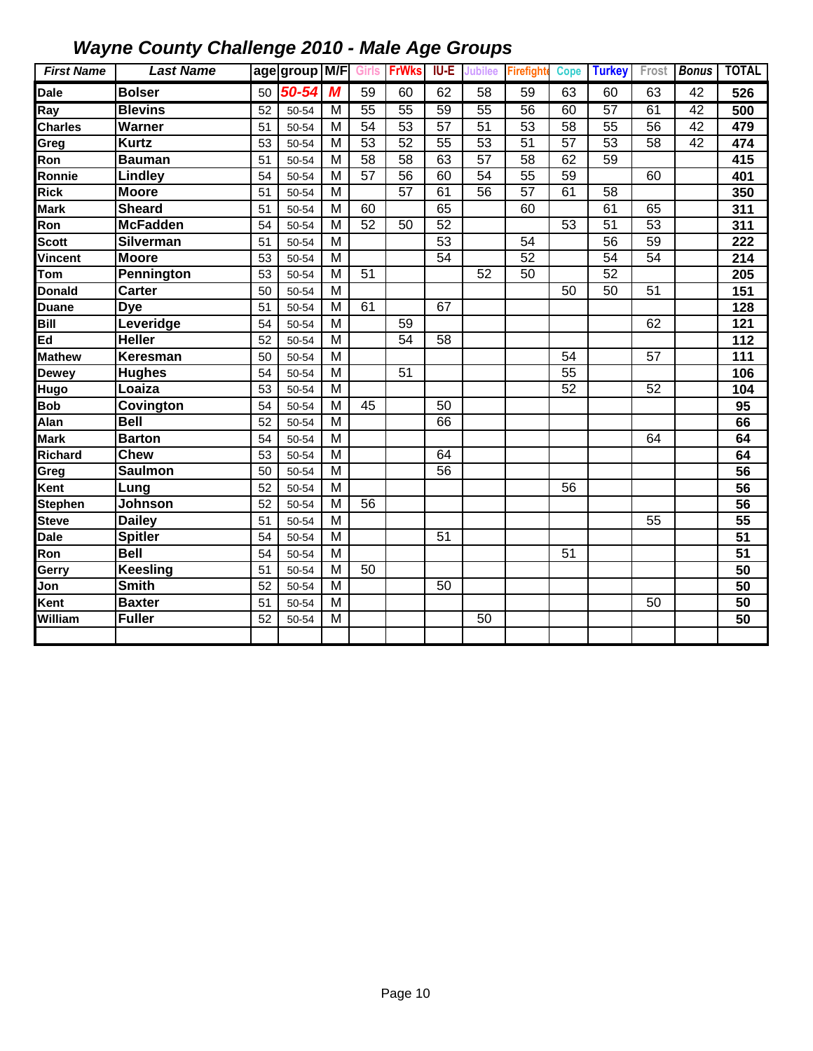| <b>First Name</b> | <b>Last Name</b> |    | age group M/F Girls FrWks |                |    |                 | <b>IU-E</b>     | Jubilee         | Firefight       | <b>Cope</b>     | <b>Turkey</b>   |    | Frost Bonus | <b>TOTAL</b>     |
|-------------------|------------------|----|---------------------------|----------------|----|-----------------|-----------------|-----------------|-----------------|-----------------|-----------------|----|-------------|------------------|
| Dale              | <b>Bolser</b>    | 50 | 50-54                     | M              | 59 | 60              | 62              | 58              | 59              | 63              | 60              | 63 | 42          | 526              |
| Ray               | <b>Blevins</b>   | 52 | 50-54                     | M              | 55 | $\overline{55}$ | 59              | 55              | 56              | 60              | 57              | 61 | 42          | 500              |
| <b>Charles</b>    | Warner           | 51 | 50-54                     | M              | 54 | 53              | 57              | 51              | 53              | 58              | 55              | 56 | 42          | 479              |
| Greg              | <b>Kurtz</b>     | 53 | 50-54                     | M              | 53 | 52              | 55              | 53              | 51              | 57              | 53              | 58 | 42          | 474              |
| Ron               | <b>Bauman</b>    | 51 | 50-54                     | M              | 58 | 58              | 63              | $\overline{57}$ | 58              | 62              | 59              |    |             | 415              |
| Ronnie            | Lindley          | 54 | 50-54                     | M              | 57 | 56              | 60              | $\overline{54}$ | 55              | 59              |                 | 60 |             | 401              |
| <b>Rick</b>       | <b>Moore</b>     | 51 | 50-54                     | M              |    | $\overline{57}$ | 61              | $\overline{56}$ | $\overline{57}$ | 61              | 58              |    |             | 350              |
| <b>Mark</b>       | <b>Sheard</b>    | 51 | 50-54                     | M              | 60 |                 | 65              |                 | 60              |                 | 61              | 65 |             | 311              |
| Ron               | <b>McFadden</b>  | 54 | 50-54                     | $\overline{M}$ | 52 | $\overline{50}$ | 52              |                 |                 | $\overline{53}$ | $\overline{51}$ | 53 |             | 311              |
| <b>Scott</b>      | <b>Silverman</b> | 51 | 50-54                     | $\overline{M}$ |    |                 | 53              |                 | $\overline{54}$ |                 | $\overline{56}$ | 59 |             | $\overline{222}$ |
| Vincent           | <b>Moore</b>     | 53 | 50-54                     | $\overline{M}$ |    |                 | 54              |                 | 52              |                 | 54              | 54 |             | $\overline{214}$ |
| Tom               | Pennington       | 53 | 50-54                     | M              | 51 |                 |                 | 52              | 50              |                 | 52              |    |             | 205              |
| <b>Donald</b>     | <b>Carter</b>    | 50 | 50-54                     | M              |    |                 |                 |                 |                 | 50              | 50              | 51 |             | 151              |
| <b>Duane</b>      | Dye              | 51 | 50-54                     | M              | 61 |                 | 67              |                 |                 |                 |                 |    |             | 128              |
| Bill              | Leveridge        | 54 | 50-54                     | M              |    | 59              |                 |                 |                 |                 |                 | 62 |             | 121              |
| Ed                | <b>Heller</b>    | 52 | 50-54                     | M              |    | 54              | 58              |                 |                 |                 |                 |    |             | 112              |
| <b>Mathew</b>     | Keresman         | 50 | 50-54                     | M              |    |                 |                 |                 |                 | 54              |                 | 57 |             | 111              |
| <b>Dewey</b>      | <b>Hughes</b>    | 54 | 50-54                     | M              |    | 51              |                 |                 |                 | 55              |                 |    |             | 106              |
| Hugo              | Loaiza           | 53 | 50-54                     | M              |    |                 |                 |                 |                 | 52              |                 | 52 |             | 104              |
| Bob               | Covington        | 54 | 50-54                     | M              | 45 |                 | 50              |                 |                 |                 |                 |    |             | 95               |
| Alan              | <b>Bell</b>      | 52 | 50-54                     | M              |    |                 | 66              |                 |                 |                 |                 |    |             | 66               |
| <b>Mark</b>       | <b>Barton</b>    | 54 | 50-54                     | M              |    |                 |                 |                 |                 |                 |                 | 64 |             | 64               |
| <b>Richard</b>    | <b>Chew</b>      | 53 | 50-54                     | M              |    |                 | 64              |                 |                 |                 |                 |    |             | 64               |
| Greg              | <b>Saulmon</b>   | 50 | 50-54                     | M              |    |                 | 56              |                 |                 |                 |                 |    |             | 56               |
| Kent              | Lung             | 52 | 50-54                     | M              |    |                 |                 |                 |                 | 56              |                 |    |             | 56               |
| <b>Stephen</b>    | Johnson          | 52 | 50-54                     | $\overline{M}$ | 56 |                 |                 |                 |                 |                 |                 |    |             | $\overline{56}$  |
| <b>Steve</b>      | <b>Dailey</b>    | 51 | 50-54                     | M              |    |                 |                 |                 |                 |                 |                 | 55 |             | 55               |
| <b>Dale</b>       | <b>Spitler</b>   | 54 | 50-54                     | M              |    |                 | $\overline{51}$ |                 |                 |                 |                 |    |             | $\overline{51}$  |
| Ron               | <b>Bell</b>      | 54 | 50-54                     | M              |    |                 |                 |                 |                 | 51              |                 |    |             | 51               |
| Gerry             | <b>Keesling</b>  | 51 | 50-54                     | $\overline{M}$ | 50 |                 |                 |                 |                 |                 |                 |    |             | $\overline{50}$  |
| Jon               | <b>Smith</b>     | 52 | 50-54                     | M              |    |                 | 50              |                 |                 |                 |                 |    |             | 50               |
| Kent              | <b>Baxter</b>    | 51 | 50-54                     | M              |    |                 |                 |                 |                 |                 |                 | 50 |             | 50               |
| William           | <b>Fuller</b>    | 52 | 50-54                     | M              |    |                 |                 | 50              |                 |                 |                 |    |             | 50               |
|                   |                  |    |                           |                |    |                 |                 |                 |                 |                 |                 |    |             |                  |